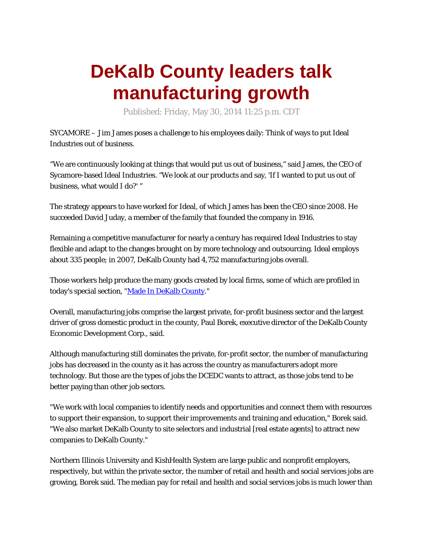## **DeKalb County leaders talk manufacturing growth**

Published: Friday, May 30, 2014 11:25 p.m. CDT

SYCAMORE – Jim James poses a challenge to his employees daily: Think of ways to put Ideal Industries out of business.

"We are continuously looking at things that would put us out of business," said James, the CEO of Sycamore-based Ideal Industries. "We look at our products and say, 'If I wanted to put us out of business, what would I do?' "

The strategy appears to have worked for Ideal, of which James has been the CEO since 2008. He succeeded David Juday, a member of the family that founded the company in 1916.

Remaining a competitive manufacturer for nearly a century has required Ideal Industries to stay flexible and adapt to the changes brought on by more technology and outsourcing. Ideal employs about 335 people; in 2007, DeKalb County had 4,752 manufacturing jobs overall.

Those workers help produce the many goods created by local firms, some of which are profiled in today's special section, ["Made In DeKalb County.](http://www.daily-chronicle.com/made-in-dekalb-county/)"

Overall, manufacturing jobs comprise the largest private, for-profit business sector and the largest driver of gross domestic product in the county, Paul Borek, executive director of the DeKalb County Economic Development Corp., said.

Although manufacturing still dominates the private, for-profit sector, the number of manufacturing jobs has decreased in the county as it has across the country as manufacturers adopt more technology. But those are the types of jobs the DCEDC wants to attract, as those jobs tend to be better paying than other job sectors.

"We work with local companies to identify needs and opportunities and connect them with resources to support their expansion, to support their improvements and training and education," Borek said. "We also market DeKalb County to site selectors and industrial [real estate agents] to attract new companies to DeKalb County."

Northern Illinois University and KishHealth System are large public and nonprofit employers, [respectively, but within the private sector, the number of retail and health and social services jobs are](http://www.daily-chronicle.com/)  growing, Borek said. The median pay for retail and health and social services jobs is much lower than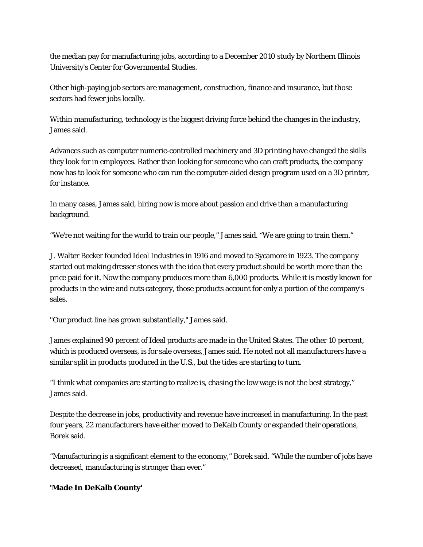the median pay for manufacturing jobs, according to a December 2010 study by Northern Illinois University's Center for Governmental Studies.

Other high-paying job sectors are management, construction, finance and insurance, but those sectors had fewer jobs locally.

Within manufacturing, technology is the biggest driving force behind the changes in the industry, James said.

Advances such as computer numeric-controlled machinery and 3D printing have changed the skills they look for in employees. Rather than looking for someone who can craft products, the company now has to look for someone who can run the computer-aided design program used on a 3D printer, for instance.

In many cases, James said, hiring now is more about passion and drive than a manufacturing background.

"We're not waiting for the world to train our people," James said. "We are going to train them."

J. Walter Becker founded Ideal Industries in 1916 and moved to Sycamore in 1923. The company started out making dresser stones with the idea that every product should be worth more than the price paid for it. Now the company produces more than 6,000 products. While it is mostly known for products in the wire and nuts category, those products account for only a portion of the company's sales.

"Our product line has grown substantially," James said.

James explained 90 percent of Ideal products are made in the United States. The other 10 percent, which is produced overseas, is for sale overseas, James said. He noted not all manufacturers have a similar split in products produced in the U.S., but the tides are starting to turn.

"I think what companies are starting to realize is, chasing the low wage is not the best strategy," James said.

Despite the decrease in jobs, productivity and revenue have increased in manufacturing. In the past four years, 22 manufacturers have either moved to DeKalb County or expanded their operations, Borek said.

"Manufacturing is a significant element to the economy," Borek said. "While the number of jobs have decreased, manufacturing is stronger than ever."

## **'Made In DeKalb County'**